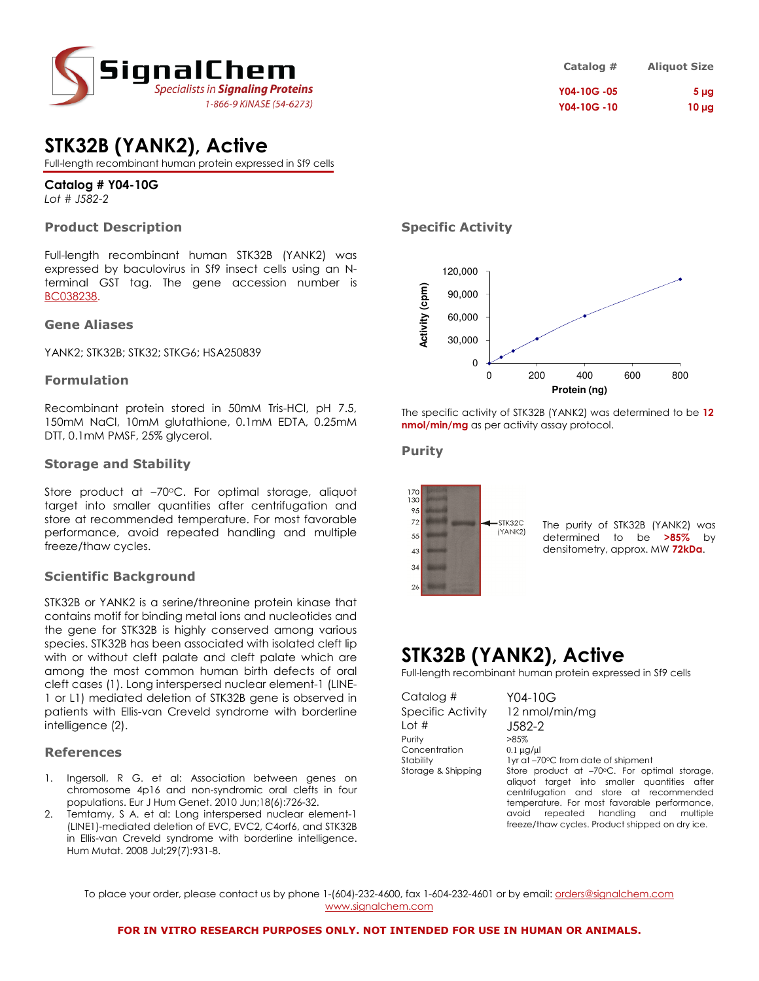

## STK32B (YANK2), Active

Full-length recombinant human protein expressed in Sf9 cells

### Catalog # Y04-10G

Lot # J582-2

### Product Description

Full-length recombinant human STK32B (YANK2) was expressed by baculovirus in Sf9 insect cells using an Nterminal GST tag. The gene accession number is BC038238.

#### Gene Aliases

YANK2; STK32B; STK32; STKG6; HSA250839

### Formulation

Recombinant protein stored in 50mM Tris-HCl, pH 7.5, 150mM NaCl, 10mM glutathione, 0.1mM EDTA, 0.25mM DTT, 0.1mM PMSF, 25% glycerol.

### Storage and Stability

Store product at -70°C. For optimal storage, aliquot target into smaller quantities after centrifugation and store at recommended temperature. For most favorable performance, avoid repeated handling and multiple freeze/thaw cycles.

### Scientific Background

STK32B or YANK2 is a serine/threonine protein kinase that contains motif for binding metal ions and nucleotides and the gene for STK32B is highly conserved among various species. STK32B has been associated with isolated cleft lip with or without cleft palate and cleft palate which are among the most common human birth defects of oral cleft cases (1). Long interspersed nuclear element-1 (LINE-1 or L1) mediated deletion of STK32B gene is observed in patients with Ellis-van Creveld syndrome with borderline intelligence (2).

### References

- 1. Ingersoll, R G. et al: Association between genes on chromosome 4p16 and non-syndromic oral clefts in four populations. Eur J Hum Genet. 2010 Jun;18(6):726-32.
- 2. Temtamy, S A. et al: Long interspersed nuclear element-1 (LINE1)-mediated deletion of EVC, EVC2, C4orf6, and STK32B in Ellis-van Creveld syndrome with borderline intelligence. Hum Mutat. 2008 Jul;29(7):931-8.

### Specific Activity



The specific activity of STK32B (YANK2) was determined to be 12 nmol/min/mg as per activity assay protocol.

### Purity



The purity of STK32B (YANK2) was determined to be >85% by densitometry, approx. MW 72kDa.

### STK32B (YANK2), Active

Full-length recombinant human protein expressed in Sf9 cells

Catalog # Y04-10G Lot # J582-2 Purity >85%<br>Concentration 0.1 ua/ul Concentration

Specific Activity 12 nmol/min/mg Stability 1yr at –70°C from date of shipment Storage & Shipping Store product at -70°C. For optimal storage, aliquot target into smaller quantities after centrifugation and store at recommended temperature. For most favorable performance, avoid repeated handling and multiple freeze/thaw cycles. Product shipped on dry ice.

To place your order, please contact us by phone 1-(604)-232-4600, fax 1-604-232-4601 or by email: *orders@signalchem.com* www.signalchem.com

Catalog # Aliquot Size Y04-10G -05 5 µg Y04-10G-10 10 µg